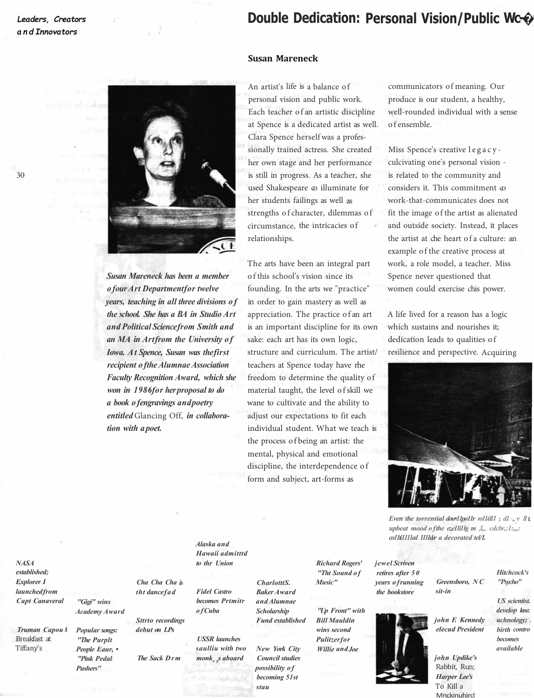30

## Double Dedication: Personal Vision/Public Wc-©

## **Susan Mareneck**

*Susan Mareneck has been a member of our Art Department for twelve years, teaching in all three divisions o f the school. She has a BA in Studio Art and Political Science from Smith and an MA in Art from the University o f Iowa. At Spence, Susan was the first recipient of the Alumnae Association Faculty Recognition Award, which she won in 1986 for her proposal to do a book of engravings and poetry entitled* Glancing Off, *in collaboration with a poet.*

An artist's life is a balance of communicators of meaning. Our personal vision and public work. produce is our student, a healthy, Each teacher of an artistic discipline well-rounded individual with a sense at Spence is a dedicated artist as well. of ensemble. Clara Spence herself was a professionally trained actress. She created Miss Spence's creative legacyher own stage and her performance is still in progress. As a teacher, she used Shakespeare  $\infty$  illuminate for her students failings as well as strengths of character, dilemmas of circumstance, the intricacies of relationships.

The arts have been an integral part of this school's vision since its Spence never questioned that founding. In the arts we "practice" women could exercise chis power. in order to gain mastery as well as appreciation. The practice of an art A life lived for a reason has a logic is an important discipline for its own which sustains and nourishes it; sake: each art has its own logic, dedication leads to qualities of structure and curriculum. The artist/ resilience and perspective. Acquiring teachers at Spence today have rhe freedom to determine the quality of material taught, the level of skill we wane to cultivate and the ability to adjust our expectations to fit each individual student. What we teach is the process of being an artist: the mental, physical and emotional discipline, the interdependence of form and subject, art-forms as

culcivating one's personal vision is related to the community and considers it. This commitment  $\infty$ work-that-communicates does not fit the image of the artist as alienated and outside society. Instead, it places the artist at che heart of a culture: an example of the creative process at work, a role model, a teacher. Miss



*Even the torrential dowllpollr roll dll* ; dl , *v Il* t *upbeat mood of the ezellillg m ,t,,. cdcbr,:1:,,,: co11ti1111ed 1111der a decorated tel/I.* 

*NASA established; Explorer I launched from Capt Canaveral* 

*Truman Capou 's*  Breakfast at Tiffany's

*"Gigi" wins Academy Award Cha Cha Cha is tht dance fad* 

*Popular songs: "The Purplt People Eaur, • "Pink Pedal Pushers"* 

*Sttrto recordings debut on LPs* 

*The Sack Drm* 

*Alaska and Hawaii admitttd to thr Union* 

*Fidel Castro becomes Prtmitr of Cuba* 

*USSR launches saulliu with two monke ys aboard* 

*CharlotttS. Baker Award and Alumnae Scholarship* 

*Fund established* 

*New York City Council studies possibility of becoming 51st stau* 

*Richard Rogers' "Tht Sound of Music"* 

*"Up Front" with Bill Mauldin wins second Pulitzer for Willie and Joe* 

*jewel Scriven retires after 50 years of running the bookstore* 



*Greensboro, NC sit-in* 

> *US scientist. develop lase. uchnology; birth contro becomes*

*Hitchcock's "Psycho"* 

*john Updike's*  Rabbit, Run; *Harper Lee's*  To Kill a **Mnckinuhircl** 

*john F. Kennedy elecud President available*